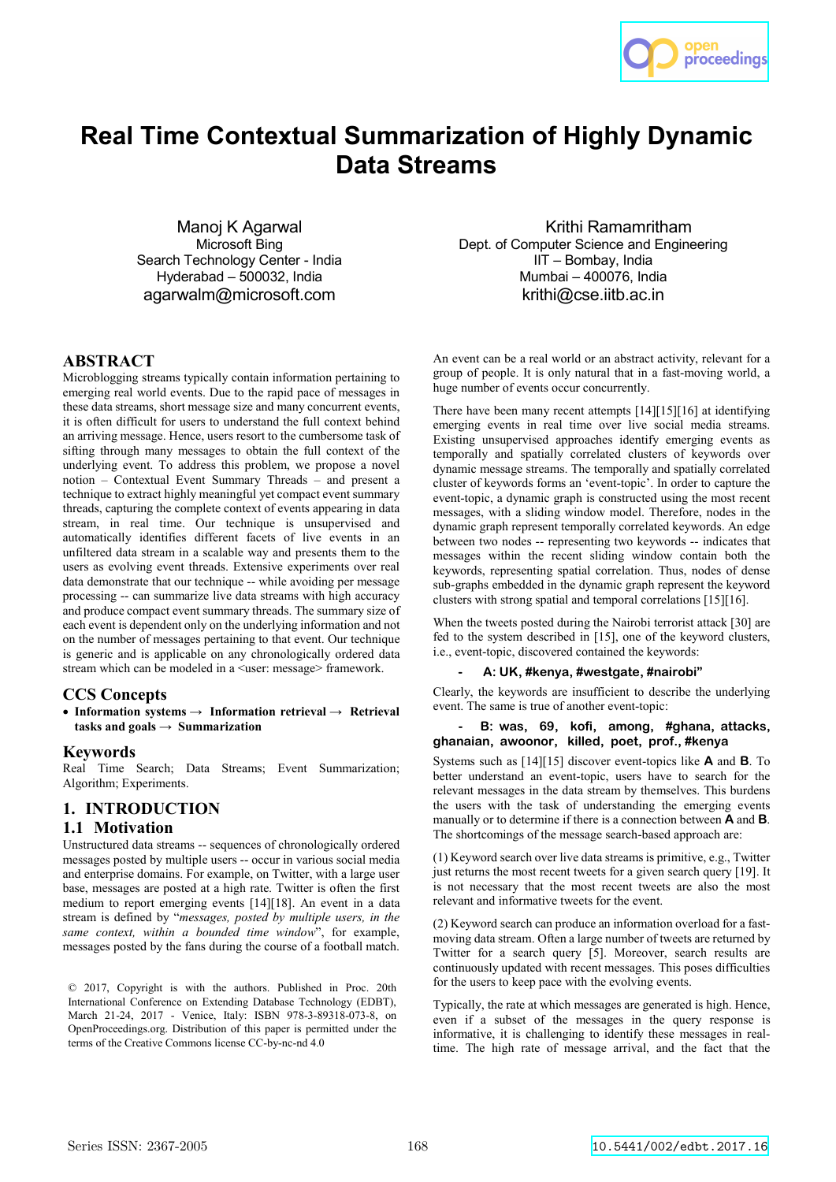

# **Real Time Contextual Summarization of Highly Dynamic Data Streams**

Manoj K Agarwal Microsoft Bing Search Technology Center - India Hyderabad – 500032, India agarwalm@microsoft.com

# **ABSTRACT**

Microblogging streams typically contain information pertaining to emerging real world events. Due to the rapid pace of messages in these data streams, short message size and many concurrent events, it is often difficult for users to understand the full context behind an arriving message. Hence, users resort to the cumbersome task of sifting through many messages to obtain the full context of the underlying event. To address this problem, we propose a novel notion – Contextual Event Summary Threads – and present a technique to extract highly meaningful yet compact event summary threads, capturing the complete context of events appearing in data stream, in real time. Our technique is unsupervised and automatically identifies different facets of live events in an unfiltered data stream in a scalable way and presents them to the users as evolving event threads. Extensive experiments over real data demonstrate that our technique -- while avoiding per message processing -- can summarize live data streams with high accuracy and produce compact event summary threads. The summary size of each event is dependent only on the underlying information and not on the number of messages pertaining to that event. Our technique is generic and is applicable on any chronologically ordered data stream which can be modeled in a <user: message> framework.

### **CCS Concepts**

 **Information systems → Information retrieval → Retrieval tasks and goals → Summarization**

#### **Keywords**

Real Time Search; Data Streams; Event Summarization; Algorithm; Experiments.

# **1. INTRODUCTION**

### **1.1 Motivation**

Unstructured data streams -- sequences of chronologically ordered messages posted by multiple users -- occur in various social media and enterprise domains. For example, on Twitter, with a large user base, messages are posted at a high rate. Twitter is often the first medium to report emerging events [14][18]. An event in a data stream is defined by "*messages, posted by multiple users, in the same context, within a bounded time window*", for example, messages posted by the fans during the course of a football match.

© 2017, Copyright is with the authors. Published in Proc. 20th International Conference on Extending Database Technology (EDBT), March 21-24, 2017 - Venice, Italy: ISBN 978-3-89318-073-8, on OpenProceedings.org. Distribution of this paper is permitted under the terms of the Creative Commons license CC-by-nc-nd 4.0

Krithi Ramamritham Dept. of Computer Science and Engineering IIT – Bombay, India Mumbai – 400076, India krithi@cse.iitb.ac.in

An event can be a real world or an abstract activity, relevant for a group of people. It is only natural that in a fast-moving world, a huge number of events occur concurrently.

There have been many recent attempts [14][15][16] at identifying emerging events in real time over live social media streams. Existing unsupervised approaches identify emerging events as temporally and spatially correlated clusters of keywords over dynamic message streams. The temporally and spatially correlated cluster of keywords forms an 'event-topic'. In order to capture the event-topic, a dynamic graph is constructed using the most recent messages, with a sliding window model. Therefore, nodes in the dynamic graph represent temporally correlated keywords. An edge between two nodes -- representing two keywords -- indicates that messages within the recent sliding window contain both the keywords, representing spatial correlation. Thus, nodes of dense sub-graphs embedded in the dynamic graph represent the keyword clusters with strong spatial and temporal correlations [15][16].

When the tweets posted during the Nairobi terrorist attack [30] are fed to the system described in [15], one of the keyword clusters, i.e., event-topic, discovered contained the keywords:

#### **- A: UK, #kenya, #westgate, #nairobi"**

Clearly, the keywords are insufficient to describe the underlying event. The same is true of another event-topic:

### **- B: was, 69, kofi, among, #ghana, attacks, ghanaian, awoonor, killed, poet, prof., #kenya**

Systems such as [14][15] discover event-topics like **A** and **B**. To better understand an event-topic, users have to search for the relevant messages in the data stream by themselves. This burdens the users with the task of understanding the emerging events manually or to determine if there is a connection between **A** and **B**. The shortcomings of the message search-based approach are:

(1) Keyword search over live data streams is primitive, e.g., Twitter just returns the most recent tweets for a given search query [19]. It is not necessary that the most recent tweets are also the most relevant and informative tweets for the event.

(2) Keyword search can produce an information overload for a fastmoving data stream. Often a large number of tweets are returned by Twitter for a search query [5]. Moreover, search results are continuously updated with recent messages. This poses difficulties for the users to keep pace with the evolving events.

Typically, the rate at which messages are generated is high. Hence, even if a subset of the messages in the query response is informative, it is challenging to identify these messages in realtime. The high rate of message arrival, and the fact that the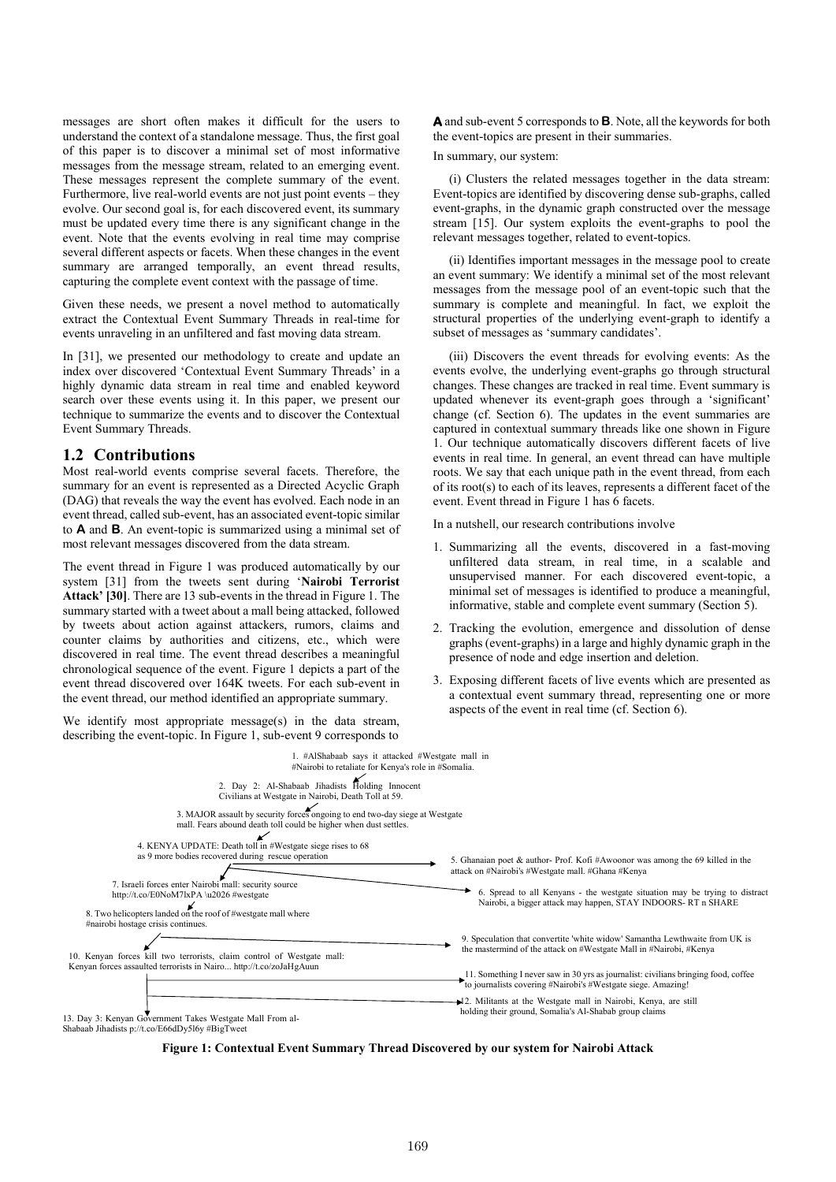messages are short often makes it difficult for the users to understand the context of a standalone message. Thus, the first goal of this paper is to discover a minimal set of most informative messages from the message stream, related to an emerging event. These messages represent the complete summary of the event. Furthermore, live real-world events are not just point events – they evolve. Our second goal is, for each discovered event, its summary must be updated every time there is any significant change in the event. Note that the events evolving in real time may comprise several different aspects or facets. When these changes in the event summary are arranged temporally, an event thread results, capturing the complete event context with the passage of time.

Given these needs, we present a novel method to automatically extract the Contextual Event Summary Threads in real-time for events unraveling in an unfiltered and fast moving data stream.

In [31], we presented our methodology to create and update an index over discovered 'Contextual Event Summary Threads' in a highly dynamic data stream in real time and enabled keyword search over these events using it. In this paper, we present our technique to summarize the events and to discover the Contextual Event Summary Threads.

# **1.2 Contributions**

Most real-world events comprise several facets. Therefore, the summary for an event is represented as a Directed Acyclic Graph (DAG) that reveals the way the event has evolved. Each node in an event thread, called sub-event, has an associated event-topic similar to **A** and **B**. An event-topic is summarized using a minimal set of most relevant messages discovered from the data stream.

The event thread in Figure 1 was produced automatically by our system [31] from the tweets sent during '**Nairobi Terrorist Attack' [30]**. There are 13 sub-events in the thread in Figure 1. The summary started with a tweet about a mall being attacked, followed by tweets about action against attackers, rumors, claims and counter claims by authorities and citizens, etc., which were discovered in real time. The event thread describes a meaningful chronological sequence of the event. Figure 1 depicts a part of the event thread discovered over 164K tweets. For each sub-event in the event thread, our method identified an appropriate summary.

We identify most appropriate message(s) in the data stream, describing the event-topic. In Figure 1, sub-event 9 corresponds to **A** and sub-event 5 corresponds to **B**. Note, all the keywords for both the event-topics are present in their summaries.

#### In summary, our system:

 (i) Clusters the related messages together in the data stream: Event-topics are identified by discovering dense sub-graphs, called event-graphs, in the dynamic graph constructed over the message stream [15]. Our system exploits the event-graphs to pool the relevant messages together, related to event-topics.

 (ii) Identifies important messages in the message pool to create an event summary: We identify a minimal set of the most relevant messages from the message pool of an event-topic such that the summary is complete and meaningful. In fact, we exploit the structural properties of the underlying event-graph to identify a subset of messages as 'summary candidates'.

 (iii) Discovers the event threads for evolving events: As the events evolve, the underlying event-graphs go through structural changes. These changes are tracked in real time. Event summary is updated whenever its event-graph goes through a 'significant' change (cf. Section 6). The updates in the event summaries are captured in contextual summary threads like one shown in Figure 1. Our technique automatically discovers different facets of live events in real time. In general, an event thread can have multiple roots. We say that each unique path in the event thread, from each of its root(s) to each of its leaves, represents a different facet of the event. Event thread in Figure 1 has 6 facets.

In a nutshell, our research contributions involve

- 1. Summarizing all the events, discovered in a fast-moving unfiltered data stream, in real time, in a scalable and unsupervised manner. For each discovered event-topic, a minimal set of messages is identified to produce a meaningful, informative, stable and complete event summary (Section 5).
- 2. Tracking the evolution, emergence and dissolution of dense graphs (event-graphs) in a large and highly dynamic graph in the presence of node and edge insertion and deletion.
- 3. Exposing different facets of live events which are presented as a contextual event summary thread, representing one or more aspects of the event in real time (cf. Section 6).



**Figure 1: Contextual Event Summary Thread Discovered by our system for Nairobi Attack**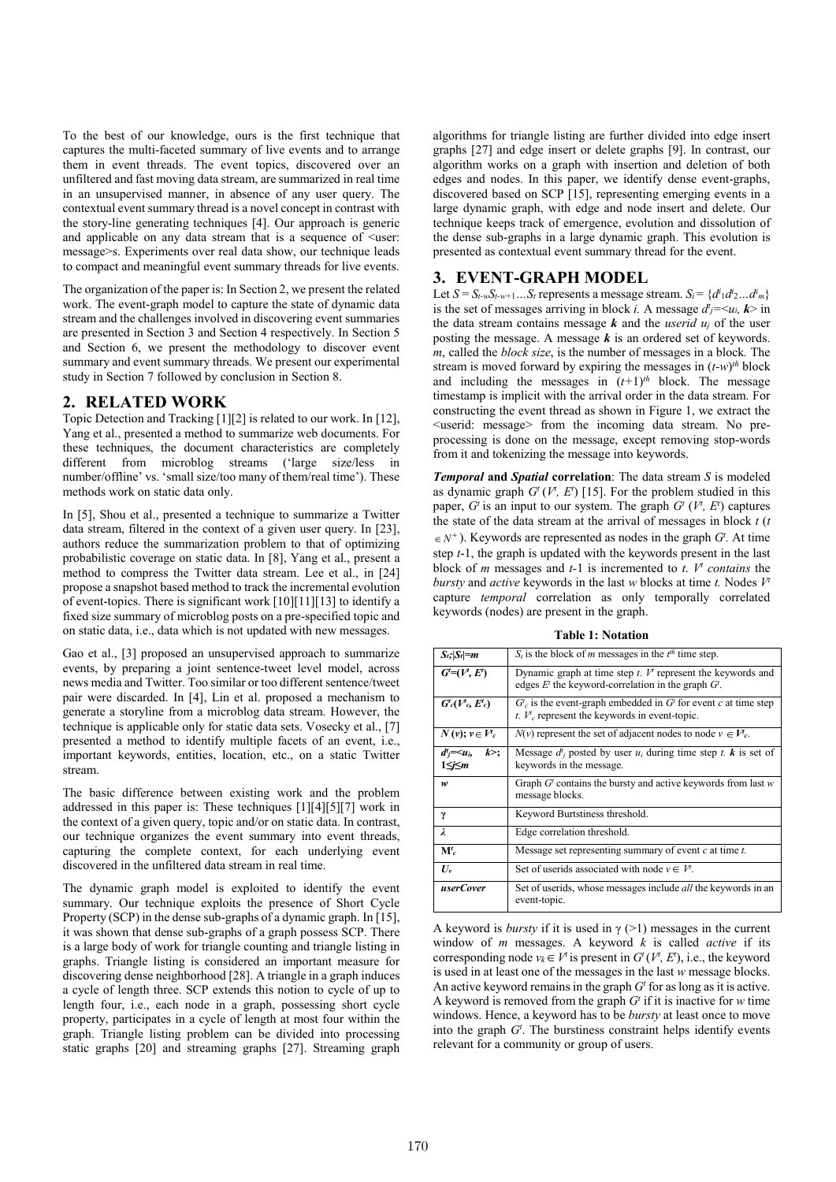To the best of our knowledge, ours is the first technique that captures the multi-faceted summary of live events and to arrange them in event threads. The event topics, discovered over an unfiltered and fast moving data stream, are summarized in real time in an unsupervised manner, in absence of any user query. The contextual event summary thread is a novel concept in contrast with the story-line generating techniques [4]. Our approach is generic and applicable on any data stream that is a sequence of  $\leq$ user: message>s. Experiments over real data show, our technique leads to compact and meaningful event summary threads for live events.

The organization of the paper is: In Section 2, we present the related work. The event-graph model to capture the state of dynamic data stream and the challenges involved in discovering event summaries are presented in Section 3 and Section 4 respectively. In Section 5 and Section 6, we present the methodology to discover event summary and event summary threads. We present our experimental study in Section 7 followed by conclusion in Section 8.

### **2. RELATED WORK**

Topic Detection and Tracking [1][2] is related to our work. In [12], Yang et al., presented a method to summarize web documents. For these techniques, the document characteristics are completely different from microblog streams ('large size/less in number/offline' vs. 'small size/too many of them/real time'). These methods work on static data only.

In [5], Shou et al., presented a technique to summarize a Twitter data stream, filtered in the context of a given user query. In [23], authors reduce the summarization problem to that of optimizing probabilistic coverage on static data. In [8], Yang et al., present a method to compress the Twitter data stream. Lee et al., in [24] propose a snapshot based method to track the incremental evolution of event-topics. There is significant work [10][11][13] to identify a fixed size summary of microblog posts on a pre-specified topic and on static data, i.e., data which is not updated with new messages.

Gao et al., [3] proposed an unsupervised approach to summarize events, by preparing a joint sentence-tweet level model, across news media and Twitter. Too similar or too different sentence/tweet pair were discarded. In [4], Lin et al. proposed a mechanism to generate a storyline from a microblog data stream. However, the technique is applicable only for static data sets. Vosecky et al., [7] presented a method to identify multiple facets of an event, i.e., important keywords, entities, location, etc., on a static Twitter stream.

The basic difference between existing work and the problem addressed in this paper is: These techniques [1][4][5][7] work in the context of a given query, topic and/or on static data. In contrast, our technique organizes the event summary into event threads, capturing the complete context, for each underlying event discovered in the unfiltered data stream in real time.

The dynamic graph model is exploited to identify the event summary. Our technique exploits the presence of Short Cycle Property (SCP) in the dense sub-graphs of a dynamic graph. In [15], it was shown that dense sub-graphs of a graph possess SCP. There is a large body of work for triangle counting and triangle listing in graphs. Triangle listing is considered an important measure for discovering dense neighborhood [28]. A triangle in a graph induces a cycle of length three. SCP extends this notion to cycle of up to length four, i.e., each node in a graph, possessing short cycle property, participates in a cycle of length at most four within the graph. Triangle listing problem can be divided into processing static graphs [20] and streaming graphs [27]. Streaming graph

algorithms for triangle listing are further divided into edge insert graphs [27] and edge insert or delete graphs [9]. In contrast, our algorithm works on a graph with insertion and deletion of both edges and nodes. In this paper, we identify dense event-graphs, discovered based on SCP [15], representing emerging events in a large dynamic graph, with edge and node insert and delete. Our technique keeps track of emergence, evolution and dissolution of the dense sub-graphs in a large dynamic graph. This evolution is presented as contextual event summary thread for the event.

# **3. EVENT-GRAPH MODEL**

Let  $S = S_{t-w}S_{t-w+1}...S_t$  represents a message stream.  $S_i = \{d^i_1 d^i_2... d^i_m\}$ is the set of messages arriving in block *i*. A message  $d_j = \langle u_i, k \rangle$  in the data stream contains message  $\boldsymbol{k}$  and the *userid*  $u_i$  of the user posting the message. A message *k* is an ordered set of keywords. *m*, called the *block size*, is the number of messages in a block*.* The stream is moved forward by expiring the messages in (*t-w*) *th* block and including the messages in  $(t+1)^{th}$  block. The message timestamp is implicit with the arrival order in the data stream. For constructing the event thread as shown in Figure 1, we extract the <userid: message> from the incoming data stream. No preprocessing is done on the message, except removing stop-words from it and tokenizing the message into keywords.

*Temporal* **and** *Spatial* **correlation**: The data stream *S* is modeled as dynamic graph  $G^t(V^t, E^t)$  [15]. For the problem studied in this paper,  $G^t$  is an input to our system. The graph  $G^t$  ( $V^t$ ,  $E^t$ ) captures the state of the data stream at the arrival of messages in block *t* (*t*  $\in$  *N*<sup>+</sup>). Keywords are represented as nodes in the graph *G*<sup>*t*</sup>. At time step *t*-1, the graph is updated with the keywords present in the last block of *m* messages and  $t-1$  is incremented to  $t$ .  $V^t$  contains the *bursty* and *active* keywords in the last *w* blocks at time *t.* Nodes *Vt* capture *temporal* correlation as only temporally correlated keywords (nodes) are present in the graph.

**Table 1: Notation**

| $S_t$ ; $ S_t =m$                 | $S_t$ is the block of <i>m</i> messages in the $t^{th}$ time step.                                                            |
|-----------------------------------|-------------------------------------------------------------------------------------------------------------------------------|
| $G = (V, E')$                     | Dynamic graph at time step $t$ . $V^t$ represent the keywords and<br>edges $E^t$ the keyword-correlation in the graph $G^t$ . |
| $G_c(V_c, E_c)$                   | $G_c^t$ is the event-graph embedded in $Gt$ for event c at time step<br>t. $V_c$ represent the keywords in event-topic.       |
| $N(v); v \in V_c$                 | $N(v)$ represent the set of adjacent nodes to node $v \in V_c$ .                                                              |
| $d^i = \leq u_i$<br>k >;<br>1≤j≤m | Message $d_i^t$ posted by user $u_i$ during time step t. <b>k</b> is set of<br>keywords in the message.                       |
| w                                 | Graph $Gt$ contains the bursty and active keywords from last w<br>message blocks.                                             |
| γ                                 | Keyword Burtstiness threshold.                                                                                                |
| $\lambda$                         | Edge correlation threshold.                                                                                                   |
| ${\bf M}^t_{c}$                   | Message set representing summary of event $c$ at time $t$ .                                                                   |
| $U_{v}$                           | Set of userids associated with node $v \in V^{\dagger}$ .                                                                     |
| <i>userCover</i>                  | Set of userids, whose messages include <i>all</i> the keywords in an<br>event-topic.                                          |

A keyword is *bursty* if it is used in  $\gamma$  (>1) messages in the current window of *m* messages. A keyword  $\vec{k}$  is called *active* if its corresponding node  $v_k \in V^t$  is present in  $G^t(V^t, E^t)$ , i.e., the keyword is used in at least one of the messages in the last *w* message blocks. An active keyword remains in the graph  $G<sup>t</sup>$  for as long as it is active. A keyword is removed from the graph  $G<sup>t</sup>$  if it is inactive for *w* time windows. Hence, a keyword has to be *bursty* at least once to move into the graph *Gt* . The burstiness constraint helps identify events relevant for a community or group of users.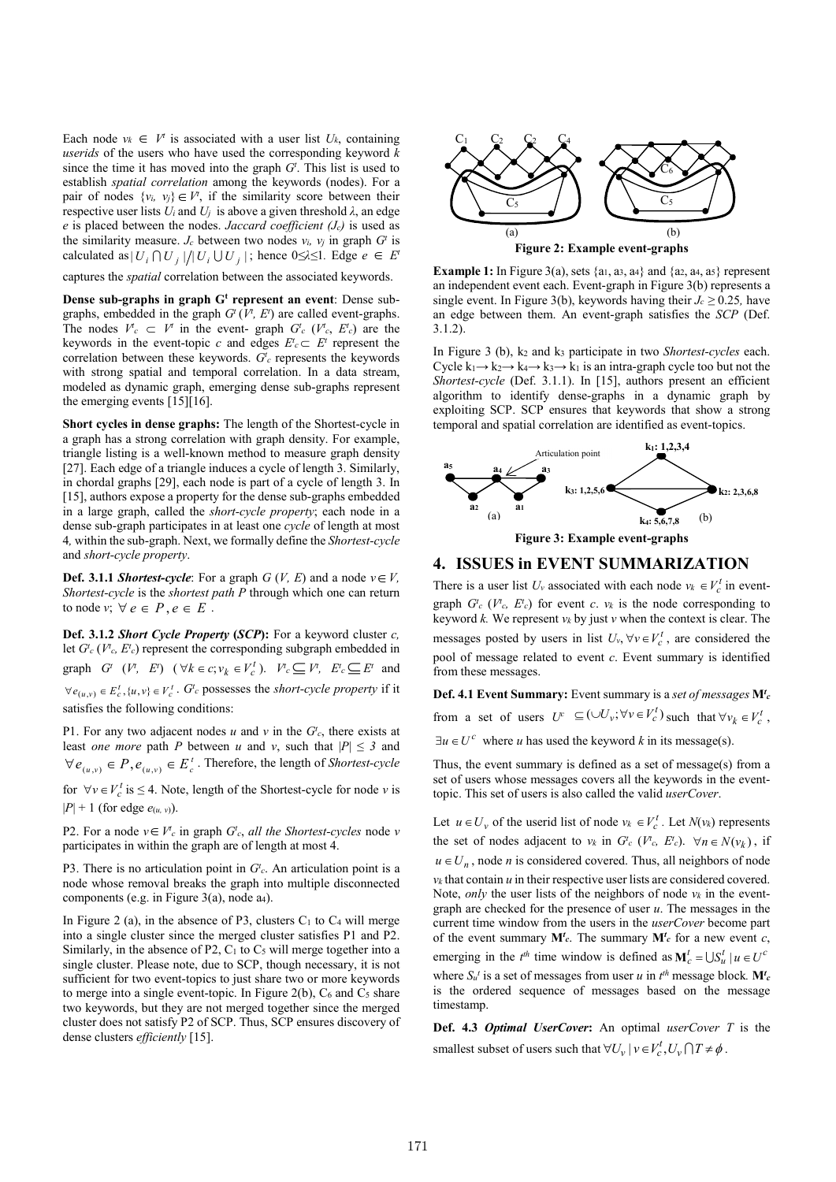Each node  $v_k \in V^t$  is associated with a user list  $U_k$ , containing *userids* of the users who have used the corresponding keyword *k*  since the time it has moved into the graph  $G<sup>t</sup>$ . This list is used to establish *spatial correlation* among the keywords (nodes). For a pair of nodes  $\{v_i, v_j\} \in V^t$ , if the similarity score between their respective user lists  $U_i$  and  $U_j$  is above a given threshold  $\lambda$ , an edge *e* is placed between the nodes. *Jaccard coefficient (Jc)* is used as the similarity measure. *J<sub>c</sub>* between two nodes  $v_i$ ,  $v_j$  in graph  $G^t$  is calculated as  $|U_i \cap U_j|/|U_j \cup U_j|$ ; hence  $0 \le \lambda \le 1$ *.* Edge  $e \in E^t$ 

captures the *spatial* correlation between the associated keywords.

**Dense sub-graphs in graph G<sup>t</sup> represent an event: Dense sub**graphs, embedded in the graph  $G^t(V^t, E^t)$  are called event-graphs. The nodes  $V^t c \subset V^t$  in the event- graph  $G^t c \ (V^t c, E^t c)$  are the keywords in the event-topic *c* and edges  $E^t c \subset E^t$  represent the correlation between these keywords.  $G_c^t$  represents the keywords with strong spatial and temporal correlation. In a data stream, modeled as dynamic graph, emerging dense sub-graphs represent the emerging events [15][16].

**Short cycles in dense graphs:** The length of the Shortest-cycle in a graph has a strong correlation with graph density. For example, triangle listing is a well-known method to measure graph density [27]. Each edge of a triangle induces a cycle of length 3. Similarly, in chordal graphs [29], each node is part of a cycle of length 3. In [15], authors expose a property for the dense sub-graphs embedded in a large graph, called the *short-cycle property*; each node in a dense sub-graph participates in at least one *cycle* of length at most 4*,* within the sub-graph. Next, we formally define the *Shortest-cycle* and *short-cycle property*.

**Def. 3.1.1** *Shortest-cycle***:** For a graph  $G$  (*V, E*) and a node  $v \in V$ , *Shortest-cycle* is the *shortest path P* through which one can return to node *v*;  $\forall e \in P, e \in E$ .

**Def. 3.1.2** *Short Cycle Property* **(***SCP***):** For a keyword cluster *c,* let  $G^t_c$  ( $V^t_c$ ,  $E^t_c$ ) represent the corresponding subgraph embedded in graph  $G^t$   $(V^t, E^t)$   $(\forall k \in c; v_k \in V_c^t)$ .  $V^t c \subseteq V^t$ ,  $E^t c \subseteq E^t$  and  $\forall e_{(u,v)} \in E_c^t$ ,  $\{u,v\} \in V_c^t$ .  $G_c^t$  possesses the *short-cycle property* if it satisfies the following conditions:

P1. For any two adjacent nodes  $u$  and  $v$  in the  $G_c^t$ , there exists at least *one more* path *P* between *u* and *v*, such that  $|P| \leq 3$  and  $\forall e_{(u,v)} \in P, e_{(u,v)} \in E_c^t$ . Therefore, the length of *Shortest-cycle* 

for  $\forall v \in V_c^t$  is  $\leq 4$ . Note, length of the Shortest-cycle for node *v* is  $|P| + 1$  (for edge  $e_{(u, v)}$ ).

P2. For a node  $v \in V_c^c$  in graph  $G_c^t$ , all the *Shortest-cycles* node  $v$ participates in within the graph are of length at most 4.

P3. There is no articulation point in  $G_c^t$ . An articulation point is a node whose removal breaks the graph into multiple disconnected components (e.g. in Figure 3(a), node a<sub>4</sub>).

In Figure 2 (a), in the absence of P3, clusters  $C_1$  to  $C_4$  will merge into a single cluster since the merged cluster satisfies P1 and P2. Similarly, in the absence of P2,  $C_1$  to  $C_5$  will merge together into a single cluster. Please note, due to SCP, though necessary, it is not sufficient for two event-topics to just share two or more keywords to merge into a single event-topic. In Figure 2(b),  $C_6$  and  $C_5$  share two keywords, but they are not merged together since the merged cluster does not satisfy P2 of SCP. Thus, SCP ensures discovery of dense clusters *efficiently* [15].



**Example 1:** In Figure 3(a), sets  $\{a_1, a_3, a_4\}$  and  $\{a_2, a_4, a_5\}$  represent an independent event each. Event-graph in Figure 3(b) represents a single event. In Figure 3(b), keywords having their  $J_c \ge 0.25$ , have an edge between them. An event-graph satisfies the *SCP* (Def. 3.1.2).

In Figure 3 (b), k2 and k3 participate in two *Shortest-cycles* each. Cycle  $k_1 \rightarrow k_2 \rightarrow k_4 \rightarrow k_3 \rightarrow k_1$  is an intra-graph cycle too but not the *Shortest-cycle* (Def. 3.1.1). In [15], authors present an efficient algorithm to identify dense-graphs in a dynamic graph by exploiting SCP. SCP ensures that keywords that show a strong temporal and spatial correlation are identified as event-topics.



**4. ISSUES in EVENT SUMMARIZATION**

There is a user list  $U_v$  associated with each node  $v_k \in V_c^t$  in eventgraph  $G_c^t$  ( $V_c^t$ ,  $E_c^t$ ) for event *c*.  $v_k$  is the node corresponding to keyword *k.* We represent *vk* by just *v* when the context is clear. The messages posted by users in list  $U_v$ ,  $\forall v \in V_c^t$ , are considered the pool of message related to event *c*. Event summary is identified from these messages.

**Def. 4.1 Event Summary:** Event summary is a *set of messages* **M***<sup>t</sup> c* from a set of users  $U^c \subseteq (\cup U_v; \forall v \in V_c^t)$  such that  $\forall v_k \in V_c^t$ ,

 $\exists u \in U^c$  where *u* has used the keyword *k* in its message(s).

Thus, the event summary is defined as a set of message(s) from a set of users whose messages covers all the keywords in the eventtopic. This set of users is also called the valid *userCover*.

Let  $u \in U_v$  of the userid list of node  $v_k \in V_c^t$ . Let  $N(v_k)$  represents the set of nodes adjacent to  $v_k$  in  $G_c^t$  ( $V_c^t$ ,  $E_c^t$ ).  $\forall n \in N(v_k)$ , if  $u \in U_n$ , node *n* is considered covered. Thus, all neighbors of node  $v_k$  that contain  $u$  in their respective user lists are considered covered. Note, *only* the user lists of the neighbors of node *vk* in the eventgraph are checked for the presence of user *u*. The messages in the current time window from the users in the *userCover* become part of the event summary  $M_c^t$ . The summary  $M_c^t$  for a new event *c*, emerging in the  $t^{th}$  time window is defined as  $M_c^t = \bigcup S_u^t \mid u \in U^c$ where  $S_u$ <sup>*t*</sup> is a set of messages from user *u* in  $t^{\text{th}}$  message block.  $M_c^t$ is the ordered sequence of messages based on the message timestamp.

**Def. 4.3** *Optimal UserCover***:** An optimal *userCover T* is the smallest subset of users such that  $\forall U_v \mid v \in V_c^t, U_v \cap T \neq \emptyset$ .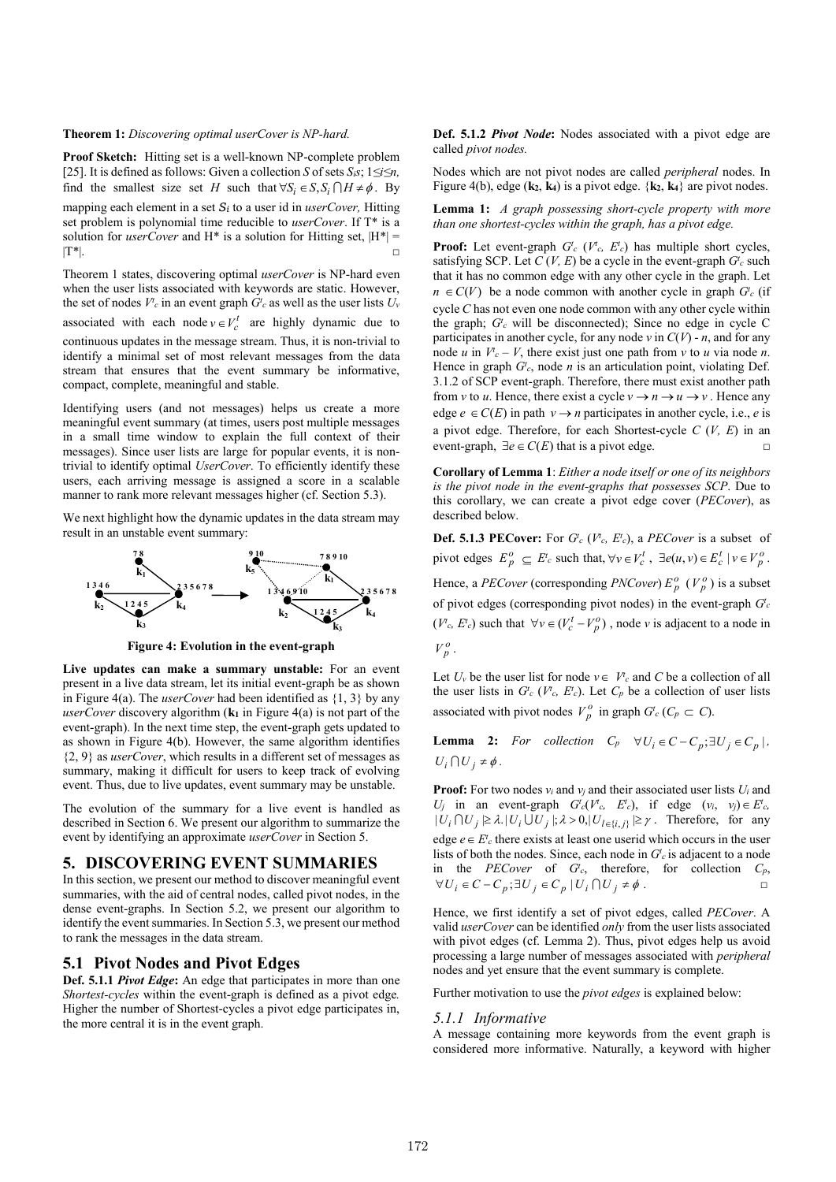#### **Theorem 1:** *Discovering optimal userCover is NP-hard.*

**Proof Sketch:**Hitting set is a well-known NP-complete problem [25]. It is defined as follows: Given a collection *S* of sets *Sis*; 1*≤i≤n,*  find the smallest size set *H* such that  $\forall S_i \in S$ ,  $S_i \cap H \neq \emptyset$ . By mapping each element in a set *Si* to a user id in *userCover,* Hitting set problem is polynomial time reducible to *userCover*. If T\* is a solution for *userCover* and H<sup>\*</sup> is a solution for Hitting set,  $|H^*|$  =  $|\mathbf{T}^*|$ .

Theorem 1 states, discovering optimal *userCover* is NP-hard even when the user lists associated with keywords are static. However, the set of nodes  $V^t$ <sub>c</sub> in an event graph  $G^t$ <sub>c</sub> as well as the user lists  $U_v$ associated with each node  $v \in V_c^t$  are highly dynamic due to continuous updates in the message stream. Thus, it is non-trivial to identify a minimal set of most relevant messages from the data stream that ensures that the event summary be informative, compact, complete, meaningful and stable.

Identifying users (and not messages) helps us create a more meaningful event summary (at times, users post multiple messages in a small time window to explain the full context of their messages). Since user lists are large for popular events, it is nontrivial to identify optimal *UserCover*. To efficiently identify these users, each arriving message is assigned a score in a scalable manner to rank more relevant messages higher (cf. Section 5.3).

We next highlight how the dynamic updates in the data stream may result in an unstable event summary:



**Figure 4: Evolution in the event-graph**

**Live updates can make a summary unstable:** For an event present in a live data stream, let its initial event-graph be as shown in Figure 4(a). The *userCover* had been identified as {1, 3} by any *userCover* discovery algorithm  $(k_1$  in Figure 4(a) is not part of the event-graph). In the next time step, the event-graph gets updated to as shown in Figure 4(b). However, the same algorithm identifies {2, 9} as *userCover*, which results in a different set of messages as summary, making it difficult for users to keep track of evolving event. Thus, due to live updates, event summary may be unstable.

The evolution of the summary for a live event is handled as described in Section 6. We present our algorithm to summarize the event by identifying an approximate *userCover* in Section 5.

# **5. DISCOVERING EVENT SUMMARIES**

In this section, we present our method to discover meaningful event summaries, with the aid of central nodes, called pivot nodes, in the dense event-graphs. In Section 5.2, we present our algorithm to identify the event summaries. In Section 5.3, we present our method to rank the messages in the data stream.

### **5.1 Pivot Nodes and Pivot Edges**

**Def. 5.1.1** *Pivot Edge***:** An edge that participates in more than one *Shortest-cycles* within the event-graph is defined as a pivot edge*.*  Higher the number of Shortest-cycles a pivot edge participates in, the more central it is in the event graph.

**Def. 5.1.2** *Pivot Node***:** Nodes associated with a pivot edge are called *pivot nodes.* 

Nodes which are not pivot nodes are called *peripheral* nodes. In Figure 4(b), edge (**k2**, **k4**) is a pivot edge. {**k2**, **k4**} are pivot nodes.

**Lemma 1:** *A graph possessing short-cycle property with more than one shortest-cycles within the graph, has a pivot edge.*

**Proof:** Let event-graph  $G_c^t$  ( $V_c$ ,  $E_c^t$ ) has multiple short cycles, satisfying SCP. Let  $C(V, E)$  be a cycle in the event-graph  $G_c^t$  such that it has no common edge with any other cycle in the graph. Let  $n \in C(V)$  be a node common with another cycle in graph  $G_c^t$  (if cycle *C* has not even one node common with any other cycle within the graph;  $G_c^t$  will be disconnected); Since no edge in cycle C participates in another cycle, for any node  $v$  in  $C(V)$  - *n*, and for any node *u* in  $V_c - V$ , there exist just one path from *v* to *u* via node *n*. Hence in graph  $G^t$ , node  $n$  is an articulation point, violating Def. 3.1.2 of SCP event-graph. Therefore, there must exist another path from *v* to *u*. Hence, there exist a cycle  $v \rightarrow n \rightarrow u \rightarrow v$ . Hence any edge  $e \in C(E)$  in path  $v \rightarrow n$  participates in another cycle, i.e., *e* is a pivot edge. Therefore, for each Shortest-cycle *C* (*V, E*) in an event-graph,  $\exists e \in C(E)$  that is a pivot edge. □

**Corollary of Lemma 1**: *Either a node itself or one of its neighbors is the pivot node in the event-graphs that possesses SCP*. Due to this corollary, we can create a pivot edge cover (*PECover*), as described below.

**Def. 5.1.3 PECover:** For  $G_c^t$  ( $V_c^t$ ,  $E_c^t$ ), a *PECover* is a subset of pivot edges  $E_p^o \subseteq E_c^t$  such that,  $\forall v \in V_c^t$ ,  $\exists e(u, v) \in E_c^t \mid v \in V_p^o$ . Hence, a *PECover* (corresponding *PNCover*)  $E_p^o$  ( $V_p^o$ ) is a subset of pivot edges (corresponding pivot nodes) in the event-graph  $G_c^t$ 

( $V^t$ <sub>c</sub>,  $E^t$ <sub>c</sub>) such that  $\forall v \in (V^t_c - V^0_p)$ , node *v* is adjacent to a node in  $V_p^o$ .

Let  $U_v$  be the user list for node  $v \in V_c^r$  and  $C$  be a collection of all the user lists in  $G_c^t$  ( $V_c$ ,  $E_c^t$ ). Let  $C_p$  be a collection of user lists associated with pivot nodes  $V_p^o$  in graph  $G_c^i$  ( $C_p \subset C$ ).

**Lemma 2:** *For collection*  $C_p \quad \forall U_i \in C - C_p; \exists U_j \in C_p$ ,  $U_i \bigcap U_j \neq \phi$ .

**Proof:** For two nodes *vi* and *vj* and their associated user lists *Ui* and *U<sub>j</sub>* in an event-graph  $G_c^t(V_c^t, E_c^t)$ , if edge  $(v_i, v_j) \in E_c^t$ ,  $|U_i \cap U_j| \geq \lambda$ .  $|U_i \cup U_j|$ ;  $\lambda > 0$ ,  $|U_{l \in \{i, j\}}| \geq \gamma$ . Therefore, for any edge  $e \in E^t$  there exists at least one userid which occurs in the user lists of both the nodes. Since, each node in  $G_c^t$  is adjacent to a node in the *PECover* of  $G^t$ <sub>c</sub>, therefore, for collection  $C_p$ ,  $\forall U_i \in C - C_p; \exists U_j \in C_p | U_i \cap U_j \neq \phi.$ 

Hence, we first identify a set of pivot edges, called *PECover*. A valid *userCover* can be identified *only* from the user lists associated with pivot edges (cf. Lemma 2). Thus, pivot edges help us avoid processing a large number of messages associated with *peripheral*  nodes and yet ensure that the event summary is complete.

Further motivation to use the *pivot edges* is explained below:

#### *5.1.1 Informative*

A message containing more keywords from the event graph is considered more informative. Naturally, a keyword with higher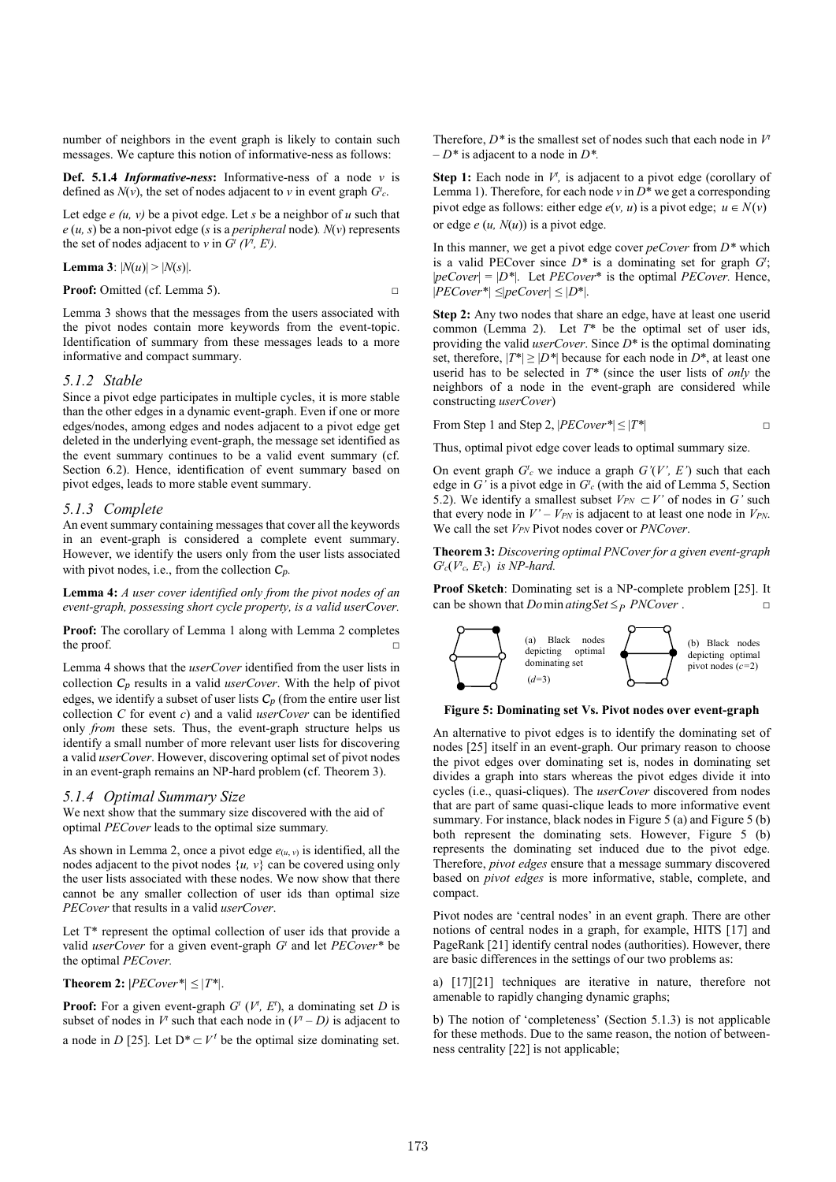number of neighbors in the event graph is likely to contain such messages. We capture this notion of informative-ness as follows:

**Def. 5.1.4** *Informative-ness***:** Informative-ness of a node *v* is defined as  $N(v)$ , the set of nodes adjacent to  $v$  in event graph  $G_c^t$ .

Let edge *e (u, v)* be a pivot edge. Let *s* be a neighbor of *u* such that  $e(u, s)$  be a non-pivot edge (*s* is a *peripheral* node).  $N(v)$  represents the set of nodes adjacent to *v* in  $G^t$  ( $V^t$ ,  $E^t$ ).

**Lemma 3**:  $|N(u)| > |N(s)|$ .

**Proof:** Omitted (cf. Lemma 5). □

Lemma 3 shows that the messages from the users associated with the pivot nodes contain more keywords from the event-topic. Identification of summary from these messages leads to a more informative and compact summary.

#### *5.1.2 Stable*

Since a pivot edge participates in multiple cycles, it is more stable than the other edges in a dynamic event-graph. Even if one or more edges/nodes, among edges and nodes adjacent to a pivot edge get deleted in the underlying event-graph, the message set identified as the event summary continues to be a valid event summary (cf. Section 6.2). Hence, identification of event summary based on pivot edges, leads to more stable event summary.

#### *5.1.3 Complete*

An event summary containing messages that cover all the keywords in an event-graph is considered a complete event summary. However, we identify the users only from the user lists associated with pivot nodes, i.e., from the collection *Cp.* 

**Lemma 4:** *A user cover identified only from the pivot nodes of an event-graph, possessing short cycle property, is a valid userCover.*

**Proof:** The corollary of Lemma 1 along with Lemma 2 completes the proof.

Lemma 4 shows that the *userCover* identified from the user lists in collection *Cp* results in a valid *userCover*. With the help of pivot edges, we identify a subset of user lists  $C_p$  (from the entire user list collection *C* for event *c*) and a valid *userCover* can be identified only *from* these sets. Thus, the event-graph structure helps us identify a small number of more relevant user lists for discovering a valid *userCover*. However, discovering optimal set of pivot nodes in an event-graph remains an NP-hard problem (cf. Theorem 3).

#### *5.1.4 Optimal Summary Size*

We next show that the summary size discovered with the aid of optimal *PECover* leads to the optimal size summary*.* 

As shown in Lemma 2, once a pivot edge  $e_{(u, v)}$  is identified, all the nodes adjacent to the pivot nodes  $\{u, v\}$  can be covered using only the user lists associated with these nodes. We now show that there cannot be any smaller collection of user ids than optimal size *PECover* that results in a valid *userCover*.

Let T\* represent the optimal collection of user ids that provide a valid *userCover* for a given event-graph *Gt* and let *PECover\** be the optimal *PECover.* 

#### **Theorem 2:**  $|$ *PECover*<sup>\*</sup> $| \leq |T^*|$ .

**Proof:** For a given event-graph  $G^t$  ( $V^t$ ,  $E^t$ ), a dominating set *D* is subset of nodes in  $V^t$  such that each node in  $(V^t – D)$  is adjacent to a node in *D* [25]. Let  $D^* \subset V^t$  be the optimal size dominating set.

Therefore,  $D^*$  is the smallest set of nodes such that each node in  $V^*$  $-D^*$  is adjacent to a node in  $D^*$ .

**Step 1:** Each node in  $V^t$ , is adjacent to a pivot edge (corollary of Lemma 1). Therefore, for each node  $v$  in  $D^*$  we get a corresponding pivot edge as follows: either edge  $e(v, u)$  is a pivot edge;  $u \in N(v)$ or edge  $e(u, N(u))$  is a pivot edge.

In this manner, we get a pivot edge cover *peCover* from *D\** which is a valid PECover since  $D^*$  is a dominating set for graph  $G^t$ ;  $|peCover| = |D^*|$ . Let *PECover*<sup>\*</sup> is the optimal *PECover*. Hence, |*PECover\*| ≤|peCover| ≤ |D*\*|.

**Step 2:** Any two nodes that share an edge, have at least one userid common (Lemma 2). Let *T*\* be the optimal set of user ids, providing the valid *userCover*. Since *D*\* is the optimal dominating set, therefore,  $|T^*| \ge |D^*|$  because for each node in  $D^*$ , at least one userid has to be selected in *T\** (since the user lists of *only* the neighbors of a node in the event-graph are considered while constructing *userCover*)

From Step 1 and Step 2,  $|PECover^*| \leq |T^*|$ 

Thus, optimal pivot edge cover leads to optimal summary size.

On event graph  $G_c^t$  we induce a graph  $G'(V', E')$  such that each edge in  $G'$  is a pivot edge in  $G'_{c}$  (with the aid of Lemma 5, Section 5.2). We identify a smallest subset  $V_{PN} \subset V'$  of nodes in G' such that every node in  $V' - V_{PN}$  is adjacent to at least one node in  $V_{PN}$ . We call the set *VPN* Pivot nodes cover or *PNCover*.

**Theorem 3:** *Discovering optimal PNCover for a given event-graph*   $G<sup>t</sup><sub>c</sub>(V<sup>t</sup><sub>c</sub>, E<sup>t</sup><sub>c</sub>)$  *is NP-hard.* 

**Proof Sketch**: Dominating set is a NP-complete problem [25]. It can be shown that *Do* min *atingSet*  $\leq_P$  *PNCover*.



#### **Figure 5: Dominating set Vs. Pivot nodes over event-graph**

An alternative to pivot edges is to identify the dominating set of nodes [25] itself in an event-graph. Our primary reason to choose the pivot edges over dominating set is, nodes in dominating set divides a graph into stars whereas the pivot edges divide it into cycles (i.e., quasi-cliques). The *userCover* discovered from nodes that are part of same quasi-clique leads to more informative event summary. For instance, black nodes in Figure 5 (a) and Figure 5 (b) both represent the dominating sets. However, Figure 5 (b) represents the dominating set induced due to the pivot edge. Therefore, *pivot edges* ensure that a message summary discovered based on *pivot edges* is more informative, stable, complete, and compact.

Pivot nodes are 'central nodes' in an event graph. There are other notions of central nodes in a graph, for example, HITS [17] and PageRank [21] identify central nodes (authorities). However, there are basic differences in the settings of our two problems as:

a) [17][21] techniques are iterative in nature, therefore not amenable to rapidly changing dynamic graphs;

b) The notion of 'completeness' (Section 5.1.3) is not applicable for these methods. Due to the same reason, the notion of betweenness centrality [22] is not applicable;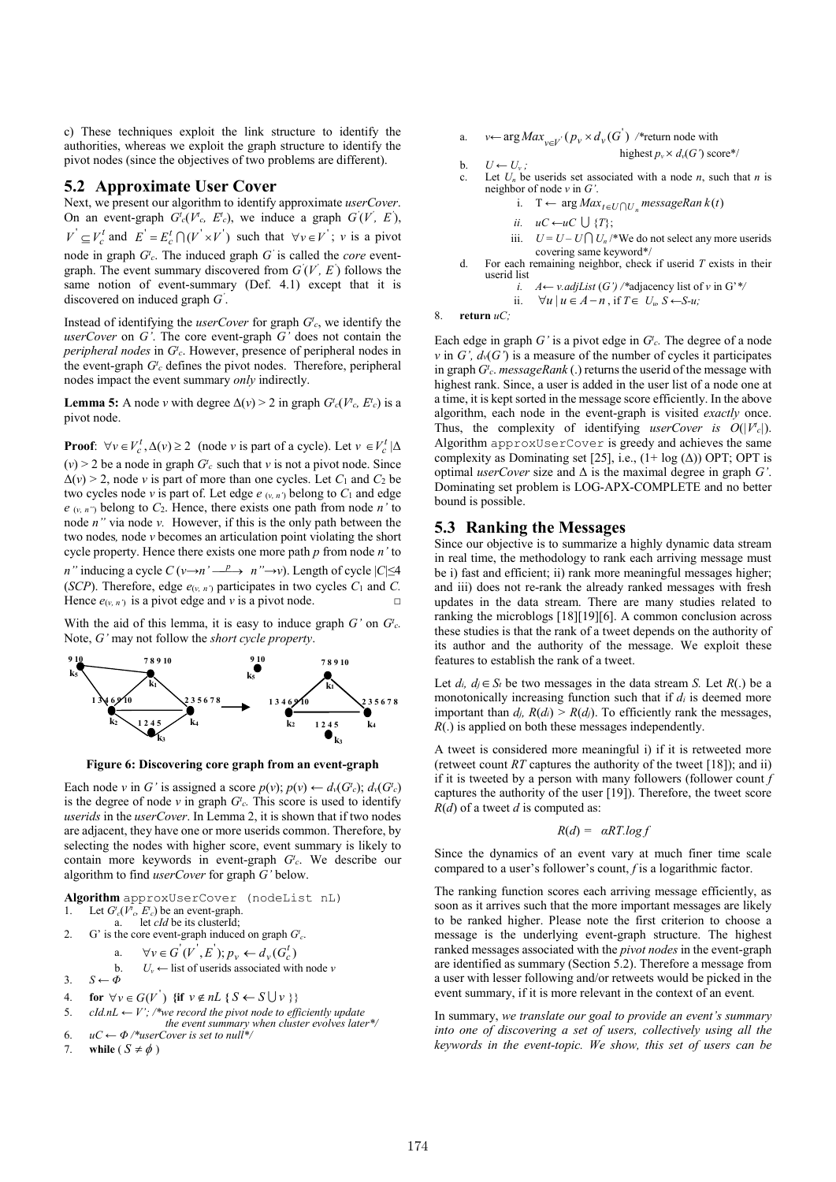c) These techniques exploit the link structure to identify the authorities, whereas we exploit the graph structure to identify the pivot nodes (since the objectives of two problems are different).

### **5.2 Approximate User Cover**

Next, we present our algorithm to identify approximate *userCover*. On an event-graph  $G^t_c(V^t_c, E^t_c)$ , we induce a graph  $G^t(V^t, E^t)$ ,  $V' \subseteq V_c^t$  and  $E' = E_c^t \cap (V' \times V')$  such that  $\forall v \in V'$ ; *v* is a pivot node in graph *Gt <sup>c</sup>*. The induced graph *G'* is called the *core* eventgraph. The event summary discovered from  $G(V, E)$  follows the same notion of event-summary (Def. 4.1) except that it is discovered on induced graph *G'* .

Instead of identifying the *userCover* for graph  $G_c^t$ , we identify the *userCover* on *G'*. The core event-graph *G'* does not contain the *peripheral nodes* in *Gt <sup>c</sup>*. However, presence of peripheral nodes in the event-graph  $G_c^t$  defines the pivot nodes. Therefore, peripheral nodes impact the event summary *only* indirectly.

**Lemma 5:** A node *v* with degree  $\Delta(v) > 2$  in graph  $G^t_c(V^t_c, E^t_c)$  is a pivot node.

**Proof:**  $\forall v \in V_c^t, \Delta(v) \ge 2$  (node *v* is part of a cycle). Let  $v \in V_c^t | \Delta$  $(v)$  > 2 be a node in graph  $G_c^t$  such that *v* is not a pivot node. Since  $\Delta(v)$  > 2, node *v* is part of more than one cycles. Let  $C_1$  and  $C_2$  be two cycles node *v* is part of. Let edge  $e_{(v, n')}$  belong to  $C_1$  and edge *e* (*v, n"*) belong to *C*2. Hence, there exists one path from node *n'* to node *n"* via node *v.* However, if this is the only path between the two nodes*,* node *v* becomes an articulation point violating the short cycle property. Hence there exists one more path *p* from node *n'* to *n*" inducing a cycle  $C(v \rightarrow n' \stackrel{p}{\longrightarrow} n'' \rightarrow v)$ . Length of cycle  $|C| \leq 4$ (*SCP*). Therefore, edge  $e_{(v, n')}$  participates in two cycles  $C_1$  and  $C$ . Hence  $e_{(v, n')}$  is a pivot edge and *v* is a pivot node. □

With the aid of this lemma, it is easy to induce graph  $G'$  on  $G'_{c}$ . Note, *G'* may not follow the *short cycle property*.



**Figure 6: Discovering core graph from an event-graph**

Each node *v* in *G'* is assigned a score  $p(v)$ ;  $p(v) \leftarrow d_v(G_c^t)$ ;  $d_v(G_c^t)$ is the degree of node  $v$  in graph  $G_c$ . This score is used to identify *userids* in the *userCover*. In Lemma 2, it is shown that if two nodes are adjacent, they have one or more userids common. Therefore, by selecting the nodes with higher score, event summary is likely to contain more keywords in event-graph *Gt <sup>c</sup>*. We describe our algorithm to find *userCover* for graph *G'* below.

**Algorithm** approxUserCover (nodeList nL)

- 1. Let  $G_c^t(V_c, E_c^t)$  be an event-graph.
- a. let *cId* be its clusterId;

2. G' is the core event-graph induced on graph  $G_c^t$ .  $\alpha'$   $\alpha'$   $\beta'$   $\beta'$   $\beta'$   $\beta'$   $\beta'$   $\beta'$ 

a. 
$$
\forall v \in G \ (V, E) ; p_v \leftarrow d_v(G_c)
$$

b. 
$$
U_v \leftarrow
$$
 list of users as sociated with node  $v$ 

- 3. *S ← Φ*
- 4. **for**  $\forall v \in G(V')$  {if  $v \notin nL$  {  $S \leftarrow S \cup v$  }}
- 5. *cId.nL*  $\leftarrow$  *V'*; /\*we record the pivot node to efficiently update  *the event summary when cluster evolves later\*/*
- 6.  $uC \leftarrow \Phi$  /\*userCover is set to null<sup>\*</sup>/
- 7. **while**  $(S \neq \phi)$

a. *v*←  $\arg Max_{v \in V} (p_v \times d_v(G'))$  /\* return node with highest  $p_v \times d_v(G')$  score\*/

$$
U \leftarrow U_v; \qquad \qquad \text{for } v \in V
$$

c. Let  $U_n$  be userids set associated with a node  $n$ , such that  $n$  is neighbor of node *v* in *G'*.

i. 
$$
T \leftarrow \arg Max_{t \in U \cap U_n}
$$
 messageRan  $k(t)$ 

$$
ii. \quad uC \leftarrow uC \cup \{T\};
$$

- iii.  $U = U U \bigcap U_n$  /\*We do not select any more userids covering same keyword\*/
- For each remaining neighbor, check if userid  $T$  exists in their userid list *i. A← v.adjList* (*G') /\**adjacency list of *v* in G'*\*/*

i. 
$$
A \leftarrow v
$$
, a qy L1st (G) /\* aqaceney list of v in G<sup>\*</sup>  
ii.  $\forall u \mid u \in A - n$ , if  $T \in U_w S \leftarrow S - u$ ;

8. **return** *uC;*

Each edge in graph  $G'$  is a pivot edge in  $G'$ <sub>c</sub>. The degree of a node *v* in *G'*,  $d_v(G')$  is a measure of the number of cycles it participates in graph *Gt <sup>c</sup>*. *messageRank* (.) returns the userid of the message with highest rank. Since, a user is added in the user list of a node one at a time, it is kept sorted in the message score efficiently. In the above algorithm, each node in the event-graph is visited *exactly* once. Thus, the complexity of identifying *userCover is*  $O(|V_c|)$ . Algorithm approxUserCover is greedy and achieves the same complexity as Dominating set [25], i.e.,  $(1 + \log (\Delta))$  OPT; OPT is optimal *userCover* size and Δ is the maximal degree in graph *G'*. Dominating set problem is LOG-APX-COMPLETE and no better bound is possible.

### **5.3 Ranking the Messages**

Since our objective is to summarize a highly dynamic data stream in real time, the methodology to rank each arriving message must be i) fast and efficient; ii) rank more meaningful messages higher; and iii) does not re-rank the already ranked messages with fresh updates in the data stream. There are many studies related to ranking the microblogs [18][19][6]. A common conclusion across these studies is that the rank of a tweet depends on the authority of its author and the authority of the message. We exploit these features to establish the rank of a tweet.

Let  $d_i$ ,  $d_j \in S_t$  be two messages in the data stream *S*. Let  $R(.)$  be a monotonically increasing function such that if *di* is deemed more important than  $d_i$ ,  $R(d_i) > R(d_j)$ . To efficiently rank the messages, *R*(.) is applied on both these messages independently.

A tweet is considered more meaningful i) if it is retweeted more (retweet count *RT* captures the authority of the tweet [18]); and ii) if it is tweeted by a person with many followers (follower count *f*  captures the authority of the user [19]). Therefore, the tweet score *R*(*d*) of a tweet *d* is computed as:

$$
R(d) = \alpha RT.log f
$$

Since the dynamics of an event vary at much finer time scale compared to a user's follower's count, *f* is a logarithmic factor.

The ranking function scores each arriving message efficiently, as soon as it arrives such that the more important messages are likely to be ranked higher. Please note the first criterion to choose a message is the underlying event-graph structure. The highest ranked messages associated with the *pivot nodes* in the event-graph are identified as summary (Section 5.2). Therefore a message from a user with lesser following and/or retweets would be picked in the event summary, if it is more relevant in the context of an event*.*

In summary, *we translate our goal to provide an event's summary into one of discovering a set of users, collectively using all the keywords in the event-topic. We show, this set of users can be*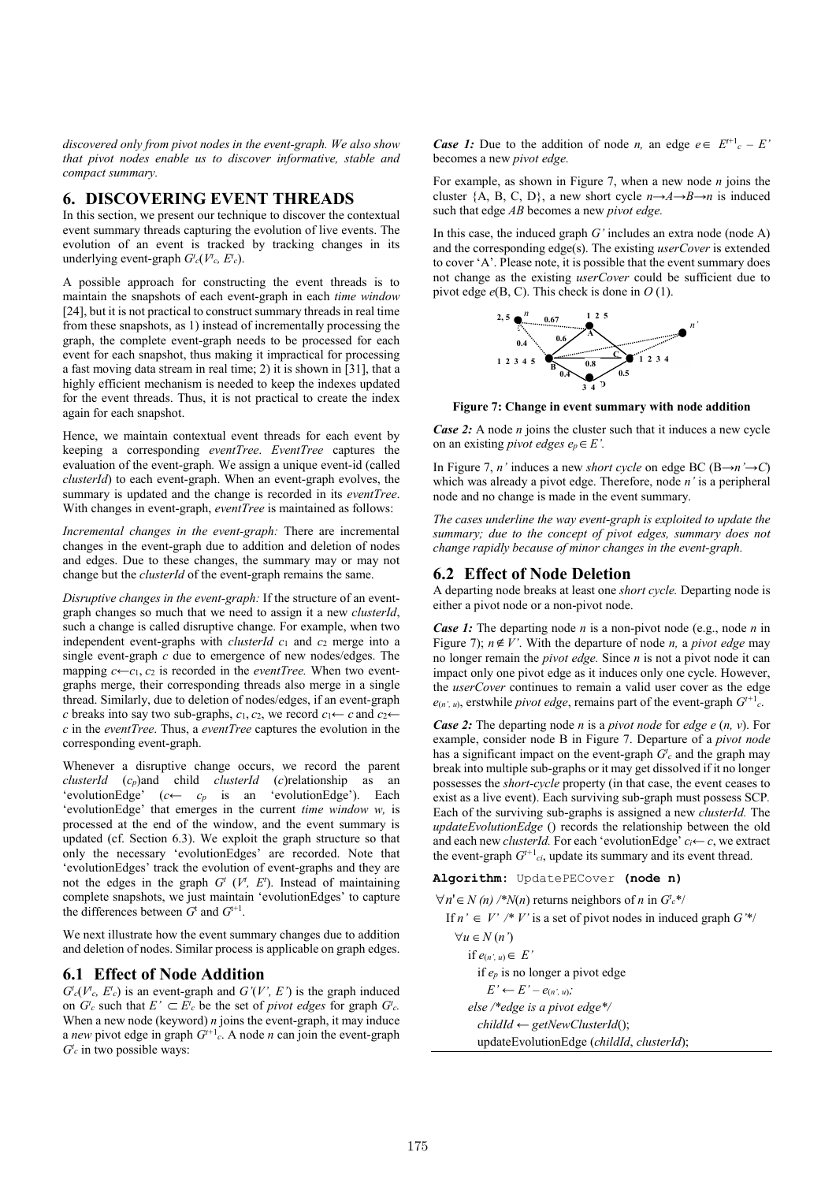*discovered only from pivot nodes in the event-graph. We also show that pivot nodes enable us to discover informative, stable and compact summary.*

# **6. DISCOVERING EVENT THREADS**

In this section, we present our technique to discover the contextual event summary threads capturing the evolution of live events. The evolution of an event is tracked by tracking changes in its underlying event-graph  $G^t_c(V^t_c, E^t_c)$ .

A possible approach for constructing the event threads is to maintain the snapshots of each event-graph in each *time window*  [24], but it is not practical to construct summary threads in real time from these snapshots, as 1) instead of incrementally processing the graph, the complete event-graph needs to be processed for each event for each snapshot, thus making it impractical for processing a fast moving data stream in real time; 2) it is shown in [31], that a highly efficient mechanism is needed to keep the indexes updated for the event threads. Thus, it is not practical to create the index again for each snapshot.

Hence, we maintain contextual event threads for each event by keeping a corresponding *eventTree*. *EventTree* captures the evaluation of the event-graph*.* We assign a unique event-id (called *clusterId*) to each event-graph. When an event-graph evolves, the summary is updated and the change is recorded in its *eventTree*. With changes in event-graph, *eventTree* is maintained as follows:

*Incremental changes in the event-graph:* There are incremental changes in the event-graph due to addition and deletion of nodes and edges. Due to these changes, the summary may or may not change but the *clusterId* of the event-graph remains the same.

*Disruptive changes in the event-graph:* If the structure of an eventgraph changes so much that we need to assign it a new *clusterId*, such a change is called disruptive change. For example, when two independent event-graphs with *clusterId c*<sup>1</sup> and *c*<sup>2</sup> merge into a single event-graph *c* due to emergence of new nodes/edges. The mapping  $c \leftarrow c_1, c_2$  is recorded in the *eventTree*. When two eventgraphs merge, their corresponding threads also merge in a single thread. Similarly, due to deletion of nodes/edges, if an event-graph *c* breaks into say two sub-graphs,  $c_1$ ,  $c_2$ , we record  $c_1 \leftarrow c$  and  $c_2 \leftarrow$ *c* in the *eventTree*. Thus, a *eventTree* captures the evolution in the corresponding event-graph.

Whenever a disruptive change occurs, we record the parent *clusterId* (*cp*)and child *clusterId* (*c*)relationship as an 'evolutionEdge' (*c← cp* is an 'evolutionEdge'). Each 'evolutionEdge' that emerges in the current *time window w,* is processed at the end of the window, and the event summary is updated (cf. Section 6.3). We exploit the graph structure so that only the necessary 'evolutionEdges' are recorded. Note that 'evolutionEdges' track the evolution of event-graphs and they are not the edges in the graph  $G<sup>t</sup>$  ( $V<sup>t</sup>$ ,  $E<sup>t</sup>$ ). Instead of maintaining complete snapshots, we just maintain 'evolutionEdges' to capture the differences between  $G<sup>t</sup>$  and  $G<sup>t+1</sup>$ .

We next illustrate how the event summary changes due to addition and deletion of nodes. Similar process is applicable on graph edges.

# **6.1 Effect of Node Addition**

 $G_c^t(V_c^t, E_c^t)$  is an event-graph and  $G'(V', E')$  is the graph induced on  $G_c^t$  such that  $E' \subset E_c^t$  be the set of *pivot edges* for graph  $G_c^t$ . When a new node (keyword) *n* joins the event-graph, it may induce a *new* pivot edge in graph  $G^{t+1}$ . A node *n* can join the event-graph  $G<sup>t</sup>c$  in two possible ways:

*Case 1:* Due to the addition of node *n*, an edge  $e \in E^{t+1}c - E'$ becomes a new *pivot edge.* 

For example, as shown in Figure 7, when a new node *n* joins the cluster {A, B, C, D}, a new short cycle *n→A→B→n* is induced such that edge *AB* becomes a new *pivot edge.*

In this case, the induced graph *G'* includes an extra node (node A) and the corresponding edge(s). The existing *userCover* is extended to cover 'A'. Please note, it is possible that the event summary does not change as the existing *userCover* could be sufficient due to pivot edge *e*(B, C). This check is done in *O* (1).



**Figure 7: Change in event summary with node addition**

*Case 2:* A node *n* joins the cluster such that it induces a new cycle on an existing *pivot edges*  $e_p \in E'$ *.* 

In Figure 7, *n'* induces a new *short cycle* on edge BC (B→*n'→C*) which was already a pivot edge. Therefore, node *n'* is a peripheral node and no change is made in the event summary.

*The cases underline the way event-graph is exploited to update the summary; due to the concept of pivot edges, summary does not change rapidly because of minor changes in the event-graph.*

### **6.2 Effect of Node Deletion**

A departing node breaks at least one *short cycle.* Departing node is either a pivot node or a non-pivot node.

*Case 1:* The departing node *n* is a non-pivot node (e.g., node *n* in Figure 7);  $n \notin V'$ . With the departure of node *n*, a *pivot edge* may no longer remain the *pivot edge.* Since *n* is not a pivot node it can impact only one pivot edge as it induces only one cycle. However, the *userCover* continues to remain a valid user cover as the edge  $e(n; u)$ , erstwhile *pivot edge*, remains part of the event-graph  $G^{t+1}$ .

*Case 2:* The departing node *n* is a *pivot node* for *edge e* (*n, v*). For example, consider node B in Figure 7. Departure of a *pivot node*  has a significant impact on the event-graph  $G_c^t$  and the graph may break into multiple sub-graphs or it may get dissolved if it no longer possesses the *short-cycle* property (in that case, the event ceases to exist as a live event). Each surviving sub-graph must possess SCP*.*  Each of the surviving sub-graphs is assigned a new *clusterId.* The *updateEvolutionEdge* () records the relationship between the old and each new *clusterId.* For each 'evolutionEdge' *ci← c*, we extract the event-graph  $G^{t+1}$ <sub>ci</sub>, update its summary and its event thread.

**Algorithm:** UpdatePECover **(node n)**

 $\forall n' \in N(n)$  /\**N*(*n*) returns neighbors of *n* in *G*<sup>*t*</sup>*c*\*/

If  $n' \in V'$  /\* *V*' is a set of pivot nodes in induced graph  $G''$ 

 $\forall u \in N$   $(n')$  $if e<sub>(n', u)</sub> \in E'$  if *ep* is no longer a pivot edge  $E' \leftarrow E' - e(n', u)$ ;  *else /\*edge is a pivot edge\*/ childId ← getNewClusterId*(); updateEvolutionEdge (*childId*, *clusterId*);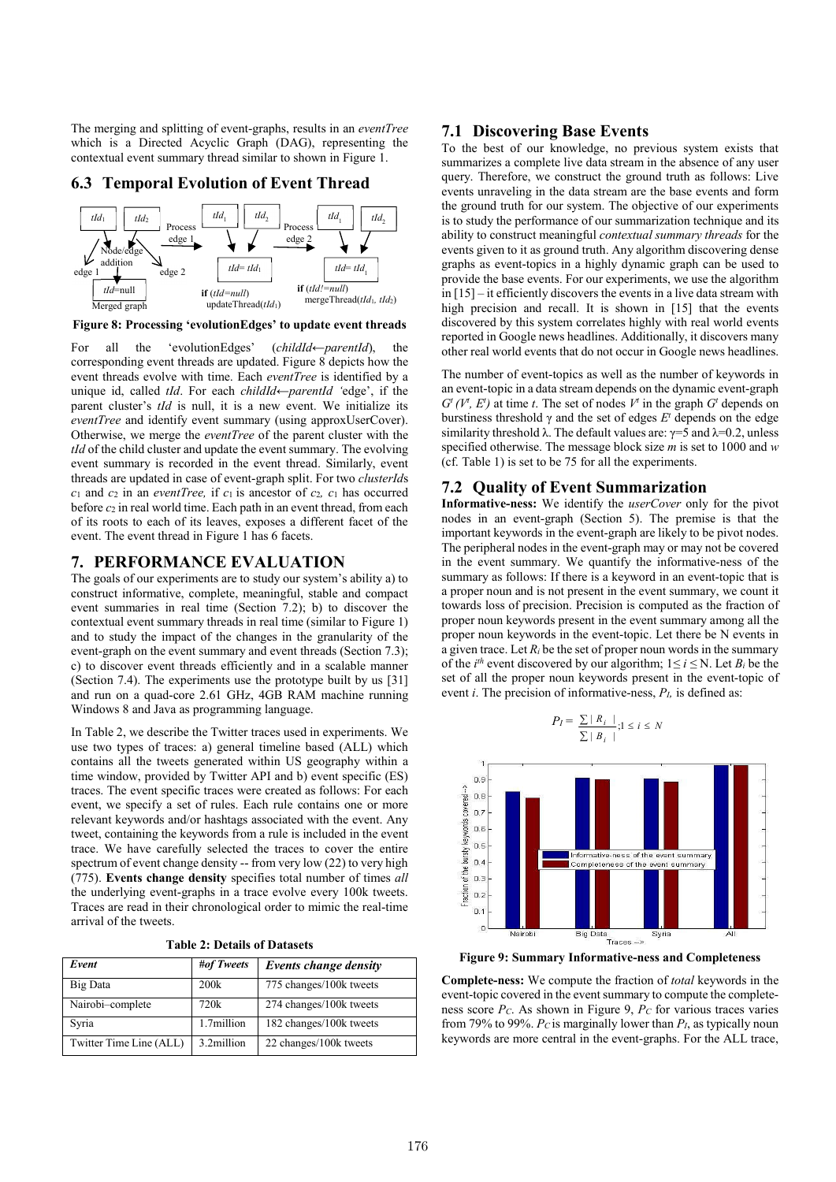The merging and splitting of event-graphs, results in an *eventTree*  which is a Directed Acyclic Graph (DAG), representing the contextual event summary thread similar to shown in Figure 1.

# **6.3 Temporal Evolution of Event Thread**



**Figure 8: Processing 'evolutionEdges' to update event threads**

For all the 'evolutionEdges' (*childId←parentId*), the corresponding event threads are updated. Figure 8 depicts how the event threads evolve with time. Each *eventTree* is identified by a unique id, called *tId*. For each *childId←parentId '*edge', if the parent cluster's *tId* is null, it is a new event. We initialize its *eventTree* and identify event summary (using approxUserCover). Otherwise, we merge the *eventTree* of the parent cluster with the *tId* of the child cluster and update the event summary. The evolving event summary is recorded in the event thread. Similarly, event threads are updated in case of event-graph split. For two *clusterId*s *c*<sup>1</sup> and *c*<sup>2</sup> in an *eventTree,* if *c*1 is ancestor of *c*2*, c*<sup>1</sup> has occurred before *c*<sup>2</sup> in real world time. Each path in an event thread, from each of its roots to each of its leaves, exposes a different facet of the event. The event thread in Figure 1 has 6 facets.

### **7. PERFORMANCE EVALUATION**

The goals of our experiments are to study our system's ability a) to construct informative, complete, meaningful, stable and compact event summaries in real time (Section 7.2); b) to discover the contextual event summary threads in real time (similar to Figure 1) and to study the impact of the changes in the granularity of the event-graph on the event summary and event threads (Section 7.3); c) to discover event threads efficiently and in a scalable manner (Section 7.4). The experiments use the prototype built by us [31] and run on a quad-core 2.61 GHz, 4GB RAM machine running Windows 8 and Java as programming language.

In Table 2, we describe the Twitter traces used in experiments. We use two types of traces: a) general timeline based (ALL) which contains all the tweets generated within US geography within a time window, provided by Twitter API and b) event specific (ES) traces. The event specific traces were created as follows: For each event, we specify a set of rules. Each rule contains one or more relevant keywords and/or hashtags associated with the event. Any tweet, containing the keywords from a rule is included in the event trace. We have carefully selected the traces to cover the entire spectrum of event change density -- from very low (22) to very high (775). **Events change density** specifies total number of times *all*  the underlying event-graphs in a trace evolve every 100k tweets. Traces are read in their chronological order to mimic the real-time arrival of the tweets.

|  |  |  |  | <b>Table 2: Details of Datasets</b> |
|--|--|--|--|-------------------------------------|
|--|--|--|--|-------------------------------------|

| Event                   | #of Tweets | Events change density   |
|-------------------------|------------|-------------------------|
| Big Data                | 200k       | 775 changes/100k tweets |
| Nairobi-complete        | 720k       | 274 changes/100k tweets |
| Syria                   | 1.7million | 182 changes/100k tweets |
| Twitter Time Line (ALL) | 3.2million | 22 changes/100k tweets  |

# **7.1 Discovering Base Events**

To the best of our knowledge, no previous system exists that summarizes a complete live data stream in the absence of any user query. Therefore, we construct the ground truth as follows: Live events unraveling in the data stream are the base events and form the ground truth for our system. The objective of our experiments is to study the performance of our summarization technique and its ability to construct meaningful *contextual summary threads* for the events given to it as ground truth. Any algorithm discovering dense graphs as event-topics in a highly dynamic graph can be used to provide the base events. For our experiments, we use the algorithm in [15] – it efficiently discovers the events in a live data stream with high precision and recall. It is shown in [15] that the events discovered by this system correlates highly with real world events reported in Google news headlines. Additionally, it discovers many other real world events that do not occur in Google news headlines.

The number of event-topics as well as the number of keywords in an event-topic in a data stream depends on the dynamic event-graph  $G^t$  ( $V^t$ ,  $E^t$ ) at time *t*. The set of nodes  $V^t$  in the graph  $G^t$  depends on burstiness threshold γ and the set of edges  $E<sup>t</sup>$  depends on the edge similarity threshold  $\lambda$ . The default values are:  $\gamma = 5$  and  $\lambda = 0.2$ , unless specified otherwise. The message block size *m* is set to 1000 and *w*  (cf. Table 1) is set to be 75 for all the experiments.

#### **7.2 Quality of Event Summarization**

**Informative-ness:** We identify the *userCover* only for the pivot nodes in an event-graph (Section 5). The premise is that the important keywords in the event-graph are likely to be pivot nodes. The peripheral nodes in the event-graph may or may not be covered in the event summary. We quantify the informative-ness of the summary as follows: If there is a keyword in an event-topic that is a proper noun and is not present in the event summary, we count it towards loss of precision. Precision is computed as the fraction of proper noun keywords present in the event summary among all the proper noun keywords in the event-topic. Let there be N events in a given trace. Let  $R_i$  be the set of proper noun words in the summary of the  $i^{th}$  event discovered by our algorithm;  $1 \le i \le N$ . Let  $B_i$  be the set of all the proper noun keywords present in the event-topic of event *i*. The precision of informative-ness, *PI,* is defined as:





**Figure 9: Summary Informative-ness and Completeness**

**Complete-ness:** We compute the fraction of *total* keywords in the event-topic covered in the event summary to compute the completeness score *PC*. As shown in Figure 9, *PC* for various traces varies from 79% to 99%.  $P_C$  is marginally lower than  $P_I$ , as typically noun keywords are more central in the event-graphs. For the ALL trace,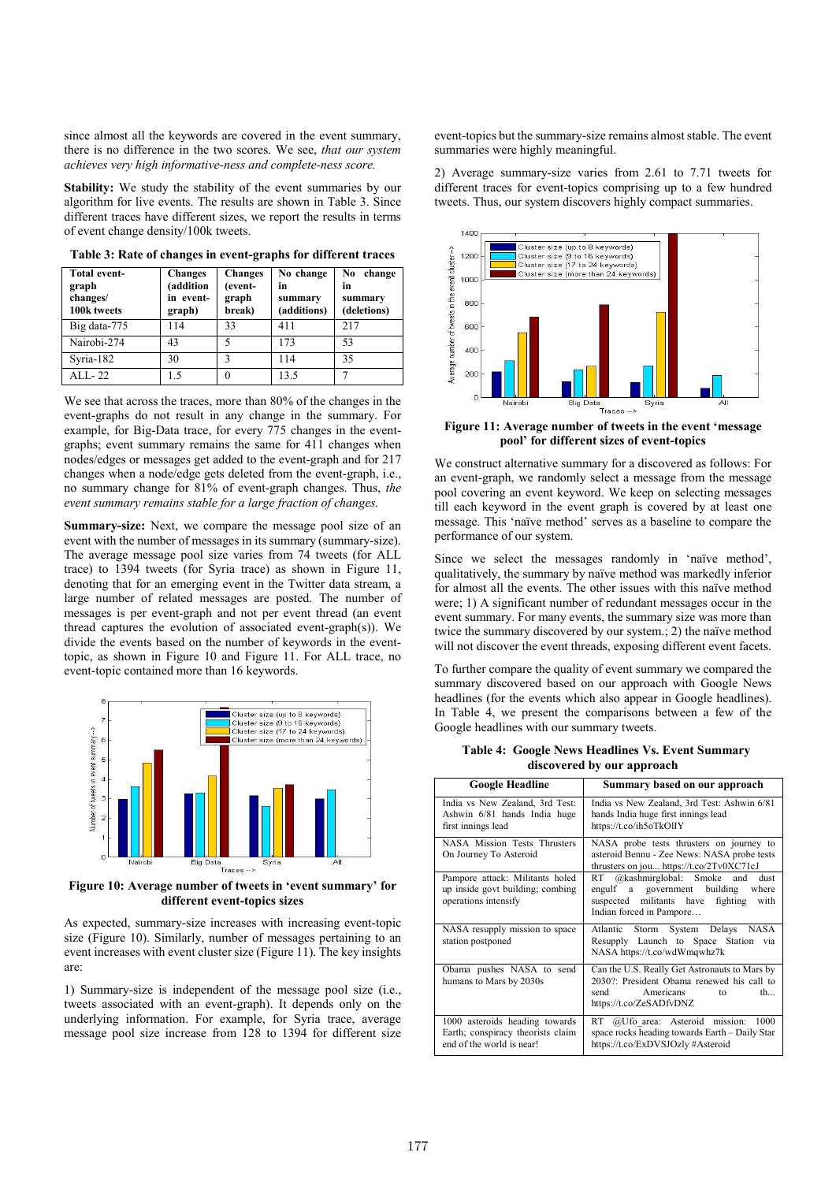since almost all the keywords are covered in the event summary, there is no difference in the two scores. We see, *that our system achieves very high informative-ness and complete-ness score.*

**Stability:** We study the stability of the event summaries by our algorithm for live events. The results are shown in Table 3. Since different traces have different sizes, we report the results in terms of event change density/100k tweets.

| Total event-<br>graph<br>changes/<br>100k tweets | <b>Changes</b><br>(addition<br>in event-<br>graph) | <b>Changes</b><br>(event-<br>graph<br>break) | No change<br>in<br>summary<br>(additions) | change<br>N <sub>0</sub><br>in<br>summary<br>(deletions) |
|--------------------------------------------------|----------------------------------------------------|----------------------------------------------|-------------------------------------------|----------------------------------------------------------|
| Big data-775                                     | 114                                                | 33                                           | 411                                       | 217                                                      |
| Nairobi-274                                      | 43                                                 |                                              | 173                                       | 53                                                       |
| Syria-182                                        | 30                                                 | 3                                            | 114                                       | 35                                                       |
| $ALL-22$                                         | 1.5                                                | $\theta$                                     | 13.5                                      |                                                          |

**Table 3: Rate of changes in event-graphs for different traces**

We see that across the traces, more than 80% of the changes in the event-graphs do not result in any change in the summary. For example, for Big-Data trace, for every 775 changes in the eventgraphs; event summary remains the same for 411 changes when nodes/edges or messages get added to the event-graph and for 217 changes when a node/edge gets deleted from the event-graph, i.e., no summary change for 81% of event-graph changes. Thus, *the event summary remains stable for a large fraction of changes.*

**Summary-size:** Next, we compare the message pool size of an event with the number of messages in its summary (summary-size). The average message pool size varies from 74 tweets (for ALL trace) to 1394 tweets (for Syria trace) as shown in Figure 11, denoting that for an emerging event in the Twitter data stream, a large number of related messages are posted. The number of messages is per event-graph and not per event thread (an event thread captures the evolution of associated event-graph(s)). We divide the events based on the number of keywords in the eventtopic, as shown in Figure 10 and Figure 11. For ALL trace, no event-topic contained more than 16 keywords.



**Figure 10: Average number of tweets in 'event summary' for different event-topics sizes**

As expected, summary-size increases with increasing event-topic size (Figure 10). Similarly, number of messages pertaining to an event increases with event cluster size (Figure 11). The key insights are:

1) Summary-size is independent of the message pool size (i.e., tweets associated with an event-graph). It depends only on the underlying information. For example, for Syria trace, average message pool size increase from 128 to 1394 for different size event-topics but the summary-size remains almost stable. The event summaries were highly meaningful.

2) Average summary-size varies from 2.61 to 7.71 tweets for different traces for event-topics comprising up to a few hundred tweets. Thus, our system discovers highly compact summaries.



**Figure 11: Average number of tweets in the event 'message pool' for different sizes of event-topics**

We construct alternative summary for a discovered as follows: For an event-graph, we randomly select a message from the message pool covering an event keyword. We keep on selecting messages till each keyword in the event graph is covered by at least one message. This 'naïve method' serves as a baseline to compare the performance of our system.

Since we select the messages randomly in 'naïve method', qualitatively, the summary by naïve method was markedly inferior for almost all the events. The other issues with this naïve method were; 1) A significant number of redundant messages occur in the event summary. For many events, the summary size was more than twice the summary discovered by our system.; 2) the naïve method will not discover the event threads, exposing different event facets.

To further compare the quality of event summary we compared the summary discovered based on our approach with Google News headlines (for the events which also appear in Google headlines). In Table 4, we present the comparisons between a few of the Google headlines with our summary tweets.

 **Table 4: Google News Headlines Vs. Event Summary discovered by our approach**

| <b>Google Headline</b>                                                                           | Summary based on our approach                                                                                                                           |
|--------------------------------------------------------------------------------------------------|---------------------------------------------------------------------------------------------------------------------------------------------------------|
| India vs New Zealand, 3rd Test:<br>Ashwin 6/81 hands India huge<br>first innings lead            | India vs New Zealand, 3rd Test: Ashwin 6/81<br>hands India huge first innings lead<br>https://t.co/ih5oTkOlIY                                           |
| <b>NASA Mission Tests Thrusters</b><br>On Journey To Asteroid                                    | NASA probe tests thrusters on journey to<br>asteroid Bennu - Zee News: NASA probe tests<br>thrusters on jou https://t.co/2Tv0XC71cJ                     |
| Pampore attack: Militants holed<br>up inside govt building; combing<br>operations intensify      | RT @kashmirglobal: Smoke and<br>dust<br>engulf a government building<br>where<br>suspected militants have fighting<br>with<br>Indian forced in Pampore  |
| NASA resupply mission to space<br>station postponed                                              | Storm System Delays NASA<br>Atlantic<br>Resupply Launch to Space Station via<br>NASA https://t.co/wdWmqwhz7k                                            |
| Obama pushes NASA to send<br>humans to Mars by 2030s                                             | Can the U.S. Really Get Astronauts to Mars by<br>2030?: President Obama renewed his call to<br>send<br>th<br>Americans<br>to<br>https://t.co/ZeSADfvDNZ |
| 1000 asteroids heading towards<br>Earth; conspiracy theorists claim<br>end of the world is near! | RT @Ufo area: Asteroid mission:<br>1000<br>space rocks heading towards Earth - Daily Star<br>https://t.co/ExDVSJOzly#Asteroid                           |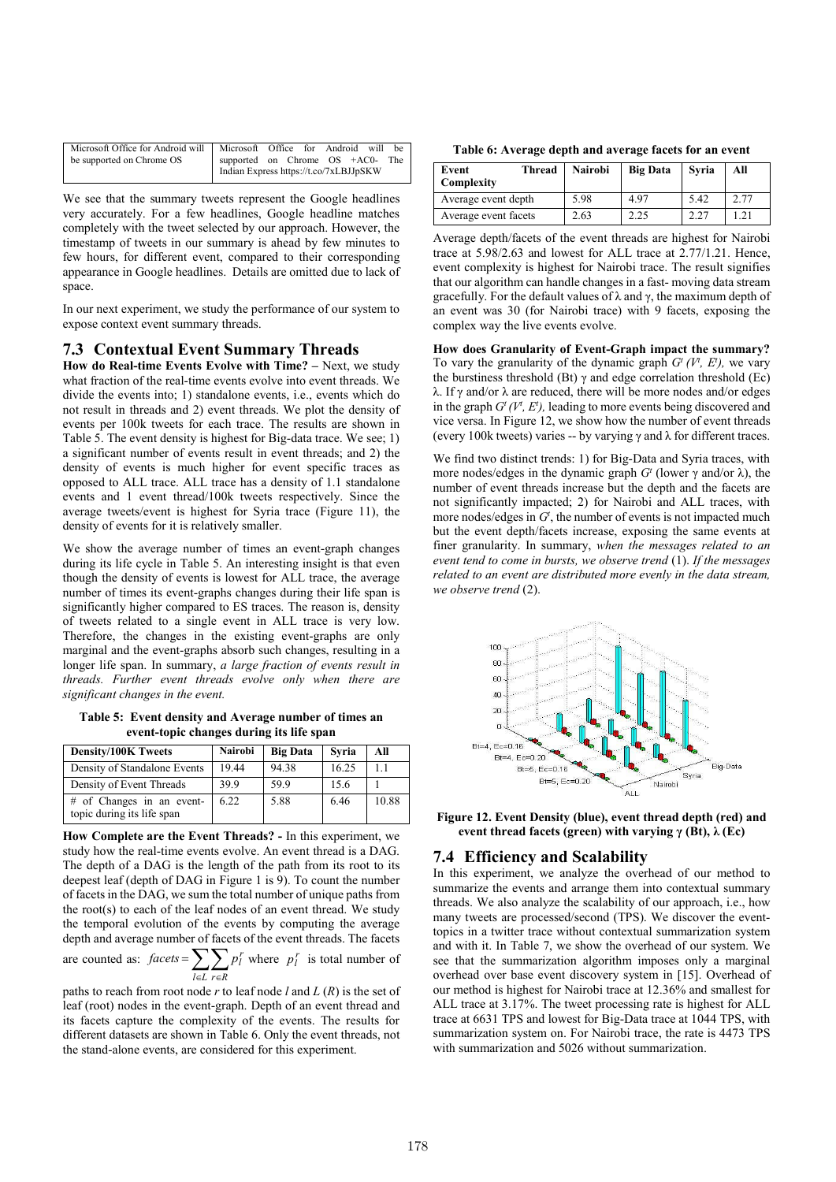| Microsoft Office for Android will   Microsoft Office for Android will |                                        |  |  | - be |
|-----------------------------------------------------------------------|----------------------------------------|--|--|------|
| be supported on Chrome OS                                             | supported on Chrome OS +AC0- The       |  |  |      |
|                                                                       | Indian Express https://t.co/7xLBJJpSKW |  |  |      |

We see that the summary tweets represent the Google headlines very accurately. For a few headlines, Google headline matches completely with the tweet selected by our approach. However, the timestamp of tweets in our summary is ahead by few minutes to few hours, for different event, compared to their corresponding appearance in Google headlines. Details are omitted due to lack of space.

In our next experiment, we study the performance of our system to expose context event summary threads.

### **7.3 Contextual Event Summary Threads**

**How do Real-time Events Evolve with Time? –** Next, we study what fraction of the real-time events evolve into event threads. We divide the events into; 1) standalone events, i.e., events which do not result in threads and 2) event threads. We plot the density of events per 100k tweets for each trace. The results are shown in Table 5. The event density is highest for Big-data trace. We see; 1) a significant number of events result in event threads; and 2) the density of events is much higher for event specific traces as opposed to ALL trace. ALL trace has a density of 1.1 standalone events and 1 event thread/100k tweets respectively. Since the average tweets/event is highest for Syria trace (Figure 11), the density of events for it is relatively smaller.

We show the average number of times an event-graph changes during its life cycle in Table 5. An interesting insight is that even though the density of events is lowest for ALL trace, the average number of times its event-graphs changes during their life span is significantly higher compared to ES traces. The reason is, density of tweets related to a single event in ALL trace is very low. Therefore, the changes in the existing event-graphs are only marginal and the event-graphs absorb such changes, resulting in a longer life span. In summary, *a large fraction of events result in threads. Further event threads evolve only when there are significant changes in the event.*

**Table 5: Event density and Average number of times an event-topic changes during its life span**

| <b>Density/100K Tweets</b>                              | <b>Nairobi</b> | <b>Big Data</b> | Svria | All   |
|---------------------------------------------------------|----------------|-----------------|-------|-------|
| Density of Standalone Events                            | 19.44          | 94.38           | 16.25 | 1.1   |
| Density of Event Threads                                | 39.9           | 59.9            | 15.6  |       |
| # of Changes in an event-<br>topic during its life span | 6.22           | 5.88            | 6.46  | 10.88 |

**How Complete are the Event Threads? -** In this experiment, we study how the real-time events evolve. An event thread is a DAG. The depth of a DAG is the length of the path from its root to its deepest leaf (depth of DAG in Figure 1 is 9). To count the number of facets in the DAG, we sum the total number of unique paths from the root(s) to each of the leaf nodes of an event thread. We study the temporal evolution of the events by computing the average depth and average number of facets of the event threads. The facets

are counted as:  $factors = \sum_{l \in L} \sum_{r \in R} p_l^r$  where  $p_l^r$  is total number of *l*∈*L r*∈*R* 

paths to reach from root node *r* to leaf node *l* and *L* (*R*) is the set of leaf (root) nodes in the event-graph. Depth of an event thread and its facets capture the complexity of the events. The results for different datasets are shown in Table 6. Only the event threads, not the stand-alone events, are considered for this experiment.

| Table 6: Average depth and average facets for an event |  |  |  |
|--------------------------------------------------------|--|--|--|
|--------------------------------------------------------|--|--|--|

| Thread<br>Event<br>Complexity | <b>Nairobi</b> | <b>Big Data</b> | Svria | All  |
|-------------------------------|----------------|-----------------|-------|------|
| Average event depth           | 5.98           | 4.97            | 5.42  | 2.77 |
| Average event facets          | 2.63           | 2.25            | 2.27  |      |

Average depth/facets of the event threads are highest for Nairobi trace at 5.98/2.63 and lowest for ALL trace at 2.77/1.21. Hence, event complexity is highest for Nairobi trace. The result signifies that our algorithm can handle changes in a fast- moving data stream gracefully. For the default values of λ and γ, the maximum depth of an event was 30 (for Nairobi trace) with 9 facets, exposing the complex way the live events evolve.

**How does Granularity of Event-Graph impact the summary?**  To vary the granularity of the dynamic graph  $G^t$  ( $V^t$ ,  $E^t$ ), we vary the burstiness threshold (Bt)  $\gamma$  and edge correlation threshold (Ec) λ. If γ and/or λ are reduced, there will be more nodes and/or edges in the graph  $G^t(V^t, E^t)$ , leading to more events being discovered and vice versa. In Figure 12, we show how the number of event threads (every 100k tweets) varies -- by varying  $\gamma$  and  $\lambda$  for different traces.

We find two distinct trends: 1) for Big-Data and Syria traces, with more nodes/edges in the dynamic graph  $G<sup>t</sup>$  (lower γ and/or λ), the number of event threads increase but the depth and the facets are not significantly impacted; 2) for Nairobi and ALL traces, with more nodes/edges in  $G<sup>t</sup>$ , the number of events is not impacted much but the event depth/facets increase, exposing the same events at finer granularity. In summary, *when the messages related to an event tend to come in bursts, we observe trend* (1). *If the messages related to an event are distributed more evenly in the data stream, we observe trend* (2).



**Figure 12. Event Density (blue), event thread depth (red) and event thread facets (green) with varying γ (Bt), λ (Ec)**

### **7.4 Efficiency and Scalability**

In this experiment, we analyze the overhead of our method to summarize the events and arrange them into contextual summary threads. We also analyze the scalability of our approach, i.e., how many tweets are processed/second (TPS). We discover the eventtopics in a twitter trace without contextual summarization system and with it. In Table 7, we show the overhead of our system. We see that the summarization algorithm imposes only a marginal overhead over base event discovery system in [15]. Overhead of our method is highest for Nairobi trace at 12.36% and smallest for ALL trace at 3.17%. The tweet processing rate is highest for ALL trace at 6631 TPS and lowest for Big-Data trace at 1044 TPS, with summarization system on. For Nairobi trace, the rate is 4473 TPS with summarization and 5026 without summarization.